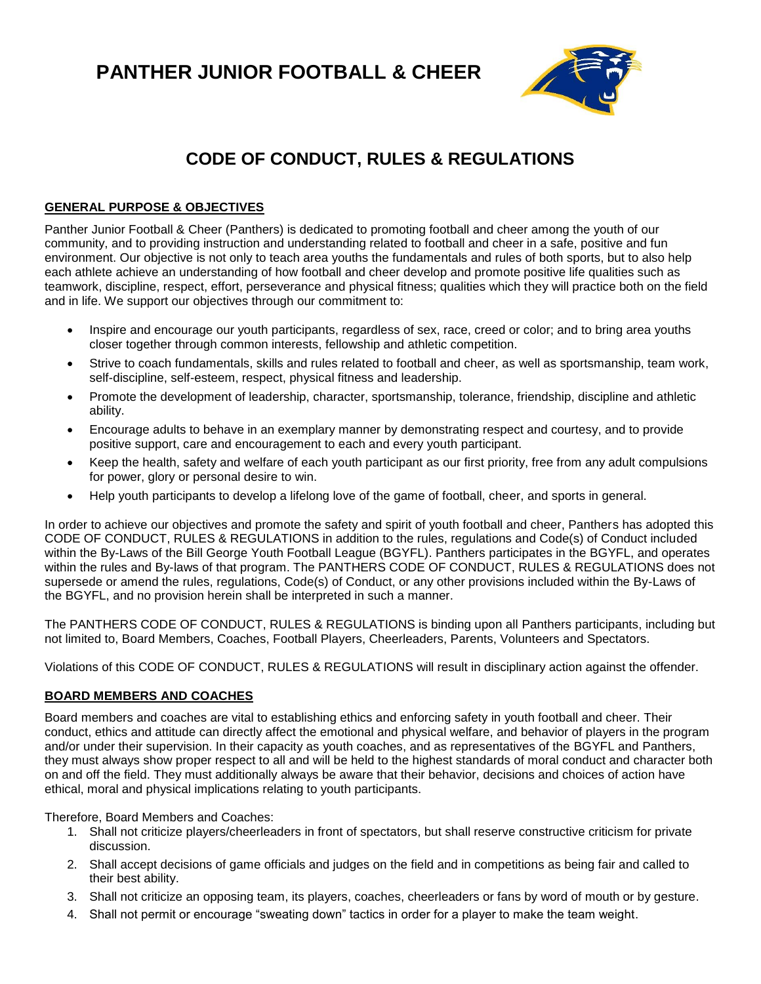**PANTHER JUNIOR FOOTBALL & CHEER**



# **CODE OF CONDUCT, RULES & REGULATIONS**

#### **GENERAL PURPOSE & OBJECTIVES**

Panther Junior Football & Cheer (Panthers) is dedicated to promoting football and cheer among the youth of our community, and to providing instruction and understanding related to football and cheer in a safe, positive and fun environment. Our objective is not only to teach area youths the fundamentals and rules of both sports, but to also help each athlete achieve an understanding of how football and cheer develop and promote positive life qualities such as teamwork, discipline, respect, effort, perseverance and physical fitness; qualities which they will practice both on the field and in life. We support our objectives through our commitment to:

- Inspire and encourage our youth participants, regardless of sex, race, creed or color; and to bring area youths closer together through common interests, fellowship and athletic competition.
- Strive to coach fundamentals, skills and rules related to football and cheer, as well as sportsmanship, team work, self-discipline, self-esteem, respect, physical fitness and leadership.
- Promote the development of leadership, character, sportsmanship, tolerance, friendship, discipline and athletic ability.
- Encourage adults to behave in an exemplary manner by demonstrating respect and courtesy, and to provide positive support, care and encouragement to each and every youth participant.
- Keep the health, safety and welfare of each youth participant as our first priority, free from any adult compulsions for power, glory or personal desire to win.
- Help youth participants to develop a lifelong love of the game of football, cheer, and sports in general.

In order to achieve our objectives and promote the safety and spirit of youth football and cheer, Panthers has adopted this CODE OF CONDUCT, RULES & REGULATIONS in addition to the rules, regulations and Code(s) of Conduct included within the By-Laws of the Bill George Youth Football League (BGYFL). Panthers participates in the BGYFL, and operates within the rules and By-laws of that program. The PANTHERS CODE OF CONDUCT, RULES & REGULATIONS does not supersede or amend the rules, regulations, Code(s) of Conduct, or any other provisions included within the By-Laws of the BGYFL, and no provision herein shall be interpreted in such a manner.

The PANTHERS CODE OF CONDUCT, RULES & REGULATIONS is binding upon all Panthers participants, including but not limited to, Board Members, Coaches, Football Players, Cheerleaders, Parents, Volunteers and Spectators.

Violations of this CODE OF CONDUCT, RULES & REGULATIONS will result in disciplinary action against the offender.

#### **BOARD MEMBERS AND COACHES**

Board members and coaches are vital to establishing ethics and enforcing safety in youth football and cheer. Their conduct, ethics and attitude can directly affect the emotional and physical welfare, and behavior of players in the program and/or under their supervision. In their capacity as youth coaches, and as representatives of the BGYFL and Panthers, they must always show proper respect to all and will be held to the highest standards of moral conduct and character both on and off the field. They must additionally always be aware that their behavior, decisions and choices of action have ethical, moral and physical implications relating to youth participants.

Therefore, Board Members and Coaches:

- 1. Shall not criticize players/cheerleaders in front of spectators, but shall reserve constructive criticism for private discussion.
- 2. Shall accept decisions of game officials and judges on the field and in competitions as being fair and called to their best ability.
- 3. Shall not criticize an opposing team, its players, coaches, cheerleaders or fans by word of mouth or by gesture.
- 4. Shall not permit or encourage "sweating down" tactics in order for a player to make the team weight.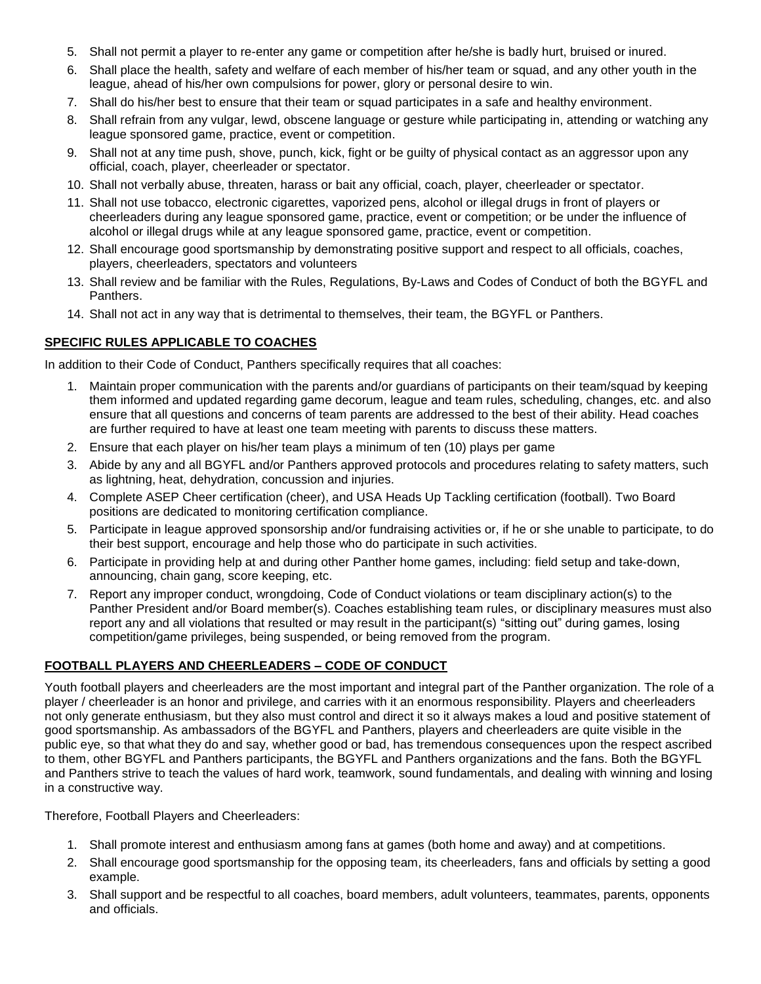- 5. Shall not permit a player to re-enter any game or competition after he/she is badly hurt, bruised or inured.
- 6. Shall place the health, safety and welfare of each member of his/her team or squad, and any other youth in the league, ahead of his/her own compulsions for power, glory or personal desire to win.
- 7. Shall do his/her best to ensure that their team or squad participates in a safe and healthy environment.
- 8. Shall refrain from any vulgar, lewd, obscene language or gesture while participating in, attending or watching any league sponsored game, practice, event or competition.
- 9. Shall not at any time push, shove, punch, kick, fight or be guilty of physical contact as an aggressor upon any official, coach, player, cheerleader or spectator.
- 10. Shall not verbally abuse, threaten, harass or bait any official, coach, player, cheerleader or spectator.
- 11. Shall not use tobacco, electronic cigarettes, vaporized pens, alcohol or illegal drugs in front of players or cheerleaders during any league sponsored game, practice, event or competition; or be under the influence of alcohol or illegal drugs while at any league sponsored game, practice, event or competition.
- 12. Shall encourage good sportsmanship by demonstrating positive support and respect to all officials, coaches, players, cheerleaders, spectators and volunteers
- 13. Shall review and be familiar with the Rules, Regulations, By-Laws and Codes of Conduct of both the BGYFL and Panthers.
- 14. Shall not act in any way that is detrimental to themselves, their team, the BGYFL or Panthers.

#### **SPECIFIC RULES APPLICABLE TO COACHES**

In addition to their Code of Conduct, Panthers specifically requires that all coaches:

- Maintain proper communication with the parents and/or guardians of participants on their team/squad by keeping them informed and updated regarding game decorum, league and team rules, scheduling, changes, etc. and also ensure that all questions and concerns of team parents are addressed to the best of their ability. Head coaches are further required to have at least one team meeting with parents to discuss these matters.
- 2. Ensure that each player on his/her team plays a minimum of ten (10) plays per game
- 3. Abide by any and all BGYFL and/or Panthers approved protocols and procedures relating to safety matters, such as lightning, heat, dehydration, concussion and injuries.
- 4. Complete ASEP Cheer certification (cheer), and USA Heads Up Tackling certification (football). Two Board positions are dedicated to monitoring certification compliance.
- 5. Participate in league approved sponsorship and/or fundraising activities or, if he or she unable to participate, to do their best support, encourage and help those who do participate in such activities.
- 6. Participate in providing help at and during other Panther home games, including: field setup and take-down, announcing, chain gang, score keeping, etc.
- 7. Report any improper conduct, wrongdoing, Code of Conduct violations or team disciplinary action(s) to the Panther President and/or Board member(s). Coaches establishing team rules, or disciplinary measures must also report any and all violations that resulted or may result in the participant(s) "sitting out" during games, losing competition/game privileges, being suspended, or being removed from the program.

#### **FOOTBALL PLAYERS AND CHEERLEADERS – CODE OF CONDUCT**

Youth football players and cheerleaders are the most important and integral part of the Panther organization. The role of a player / cheerleader is an honor and privilege, and carries with it an enormous responsibility. Players and cheerleaders not only generate enthusiasm, but they also must control and direct it so it always makes a loud and positive statement of good sportsmanship. As ambassadors of the BGYFL and Panthers, players and cheerleaders are quite visible in the public eye, so that what they do and say, whether good or bad, has tremendous consequences upon the respect ascribed to them, other BGYFL and Panthers participants, the BGYFL and Panthers organizations and the fans. Both the BGYFL and Panthers strive to teach the values of hard work, teamwork, sound fundamentals, and dealing with winning and losing in a constructive way.

Therefore, Football Players and Cheerleaders:

- 1. Shall promote interest and enthusiasm among fans at games (both home and away) and at competitions.
- 2. Shall encourage good sportsmanship for the opposing team, its cheerleaders, fans and officials by setting a good example.
- 3. Shall support and be respectful to all coaches, board members, adult volunteers, teammates, parents, opponents and officials.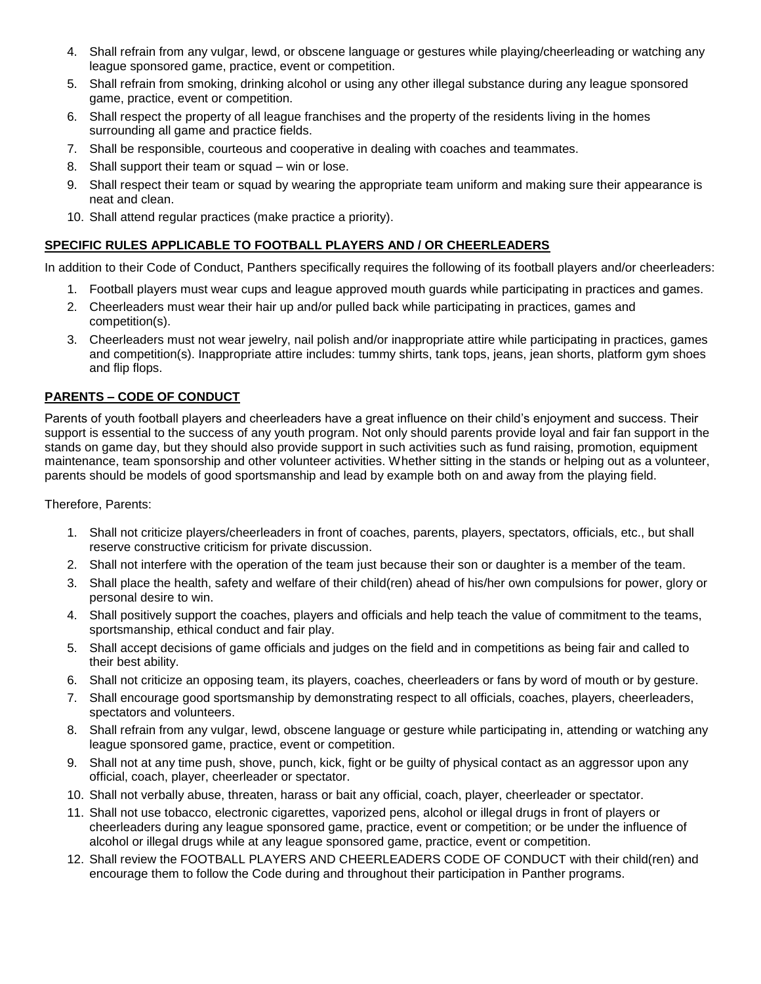- 4. Shall refrain from any vulgar, lewd, or obscene language or gestures while playing/cheerleading or watching any league sponsored game, practice, event or competition.
- 5. Shall refrain from smoking, drinking alcohol or using any other illegal substance during any league sponsored game, practice, event or competition.
- 6. Shall respect the property of all league franchises and the property of the residents living in the homes surrounding all game and practice fields.
- 7. Shall be responsible, courteous and cooperative in dealing with coaches and teammates.
- 8. Shall support their team or squad win or lose.
- 9. Shall respect their team or squad by wearing the appropriate team uniform and making sure their appearance is neat and clean.
- 10. Shall attend regular practices (make practice a priority).

# **SPECIFIC RULES APPLICABLE TO FOOTBALL PLAYERS AND / OR CHEERLEADERS**

In addition to their Code of Conduct, Panthers specifically requires the following of its football players and/or cheerleaders:

- 1. Football players must wear cups and league approved mouth guards while participating in practices and games.
- 2. Cheerleaders must wear their hair up and/or pulled back while participating in practices, games and competition(s).
- 3. Cheerleaders must not wear jewelry, nail polish and/or inappropriate attire while participating in practices, games and competition(s). Inappropriate attire includes: tummy shirts, tank tops, jeans, jean shorts, platform gym shoes and flip flops.

# **PARENTS – CODE OF CONDUCT**

Parents of youth football players and cheerleaders have a great influence on their child's enjoyment and success. Their support is essential to the success of any youth program. Not only should parents provide loyal and fair fan support in the stands on game day, but they should also provide support in such activities such as fund raising, promotion, equipment maintenance, team sponsorship and other volunteer activities. Whether sitting in the stands or helping out as a volunteer, parents should be models of good sportsmanship and lead by example both on and away from the playing field.

Therefore, Parents:

- 1. Shall not criticize players/cheerleaders in front of coaches, parents, players, spectators, officials, etc., but shall reserve constructive criticism for private discussion.
- 2. Shall not interfere with the operation of the team just because their son or daughter is a member of the team.
- 3. Shall place the health, safety and welfare of their child(ren) ahead of his/her own compulsions for power, glory or personal desire to win.
- 4. Shall positively support the coaches, players and officials and help teach the value of commitment to the teams, sportsmanship, ethical conduct and fair play.
- 5. Shall accept decisions of game officials and judges on the field and in competitions as being fair and called to their best ability.
- 6. Shall not criticize an opposing team, its players, coaches, cheerleaders or fans by word of mouth or by gesture.
- 7. Shall encourage good sportsmanship by demonstrating respect to all officials, coaches, players, cheerleaders, spectators and volunteers.
- 8. Shall refrain from any vulgar, lewd, obscene language or gesture while participating in, attending or watching any league sponsored game, practice, event or competition.
- 9. Shall not at any time push, shove, punch, kick, fight or be guilty of physical contact as an aggressor upon any official, coach, player, cheerleader or spectator.
- 10. Shall not verbally abuse, threaten, harass or bait any official, coach, player, cheerleader or spectator.
- 11. Shall not use tobacco, electronic cigarettes, vaporized pens, alcohol or illegal drugs in front of players or cheerleaders during any league sponsored game, practice, event or competition; or be under the influence of alcohol or illegal drugs while at any league sponsored game, practice, event or competition.
- 12. Shall review the FOOTBALL PLAYERS AND CHEERLEADERS CODE OF CONDUCT with their child(ren) and encourage them to follow the Code during and throughout their participation in Panther programs.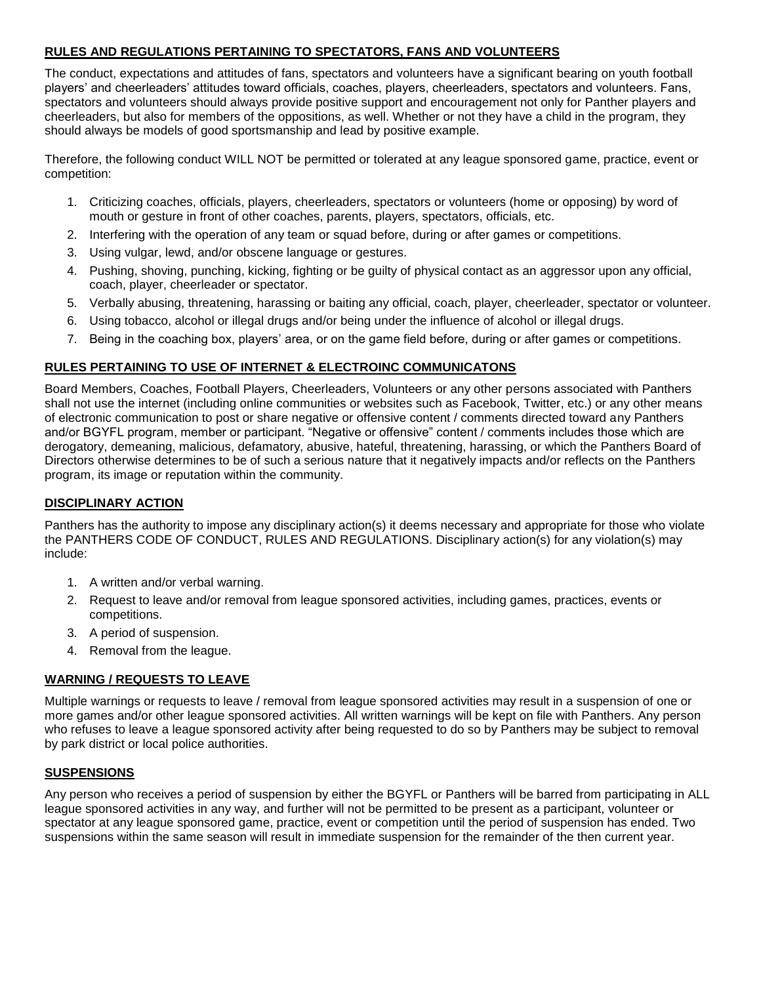#### **RULES AND REGULATIONS PERTAINING TO SPECTATORS, FANS AND VOLUNTEERS**

The conduct, expectations and attitudes of fans, spectators and volunteers have a significant bearing on youth football players' and cheerleaders' attitudes toward officials, coaches, players, cheerleaders, spectators and volunteers. Fans, spectators and volunteers should always provide positive support and encouragement not only for Panther players and cheerleaders, but also for members of the oppositions, as well. Whether or not they have a child in the program, they should always be models of good sportsmanship and lead by positive example.

Therefore, the following conduct WILL NOT be permitted or tolerated at any league sponsored game, practice, event or competition:

- 1. Criticizing coaches, officials, players, cheerleaders, spectators or volunteers (home or opposing) by word of mouth or gesture in front of other coaches, parents, players, spectators, officials, etc.
- 2. Interfering with the operation of any team or squad before, during or after games or competitions.
- 3. Using vulgar, lewd, and/or obscene language or gestures.
- 4. Pushing, shoving, punching, kicking, fighting or be guilty of physical contact as an aggressor upon any official, coach, player, cheerleader or spectator.
- 5. Verbally abusing, threatening, harassing or baiting any official, coach, player, cheerleader, spectator or volunteer.
- 6. Using tobacco, alcohol or illegal drugs and/or being under the influence of alcohol or illegal drugs.
- 7. Being in the coaching box, players' area, or on the game field before, during or after games or competitions.

#### **RULES PERTAINING TO USE OF INTERNET & ELECTROINC COMMUNICATONS**

Board Members, Coaches, Football Players, Cheerleaders, Volunteers or any other persons associated with Panthers shall not use the internet (including online communities or websites such as Facebook, Twitter, etc.) or any other means of electronic communication to post or share negative or offensive content / comments directed toward any Panthers and/or BGYFL program, member or participant. "Negative or offensive" content / comments includes those which are derogatory, demeaning, malicious, defamatory, abusive, hateful, threatening, harassing, or which the Panthers Board of Directors otherwise determines to be of such a serious nature that it negatively impacts and/or reflects on the Panthers program, its image or reputation within the community.

#### **DISCIPLINARY ACTION**

Panthers has the authority to impose any disciplinary action(s) it deems necessary and appropriate for those who violate the PANTHERS CODE OF CONDUCT, RULES AND REGULATIONS. Disciplinary action(s) for any violation(s) may include:

- 1. A written and/or verbal warning.
- 2. Request to leave and/or removal from league sponsored activities, including games, practices, events or competitions.
- 3. A period of suspension.
- 4. Removal from the league.

#### **WARNING / REQUESTS TO LEAVE**

Multiple warnings or requests to leave / removal from league sponsored activities may result in a suspension of one or more games and/or other league sponsored activities. All written warnings will be kept on file with Panthers. Any person who refuses to leave a league sponsored activity after being requested to do so by Panthers may be subject to removal by park district or local police authorities.

#### **SUSPENSIONS**

Any person who receives a period of suspension by either the BGYFL or Panthers will be barred from participating in ALL league sponsored activities in any way, and further will not be permitted to be present as a participant, volunteer or spectator at any league sponsored game, practice, event or competition until the period of suspension has ended. Two suspensions within the same season will result in immediate suspension for the remainder of the then current year.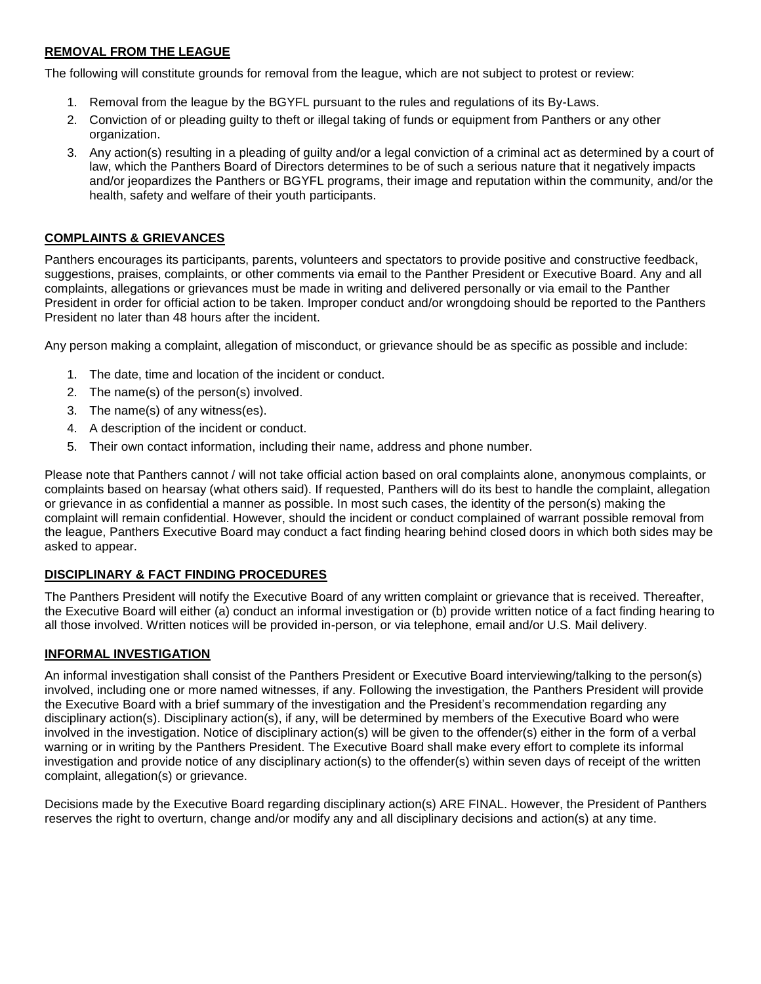# **REMOVAL FROM THE LEAGUE**

The following will constitute grounds for removal from the league, which are not subject to protest or review:

- 1. Removal from the league by the BGYFL pursuant to the rules and regulations of its By-Laws.
- 2. Conviction of or pleading guilty to theft or illegal taking of funds or equipment from Panthers or any other organization.
- 3. Any action(s) resulting in a pleading of guilty and/or a legal conviction of a criminal act as determined by a court of law, which the Panthers Board of Directors determines to be of such a serious nature that it negatively impacts and/or jeopardizes the Panthers or BGYFL programs, their image and reputation within the community, and/or the health, safety and welfare of their youth participants.

#### **COMPLAINTS & GRIEVANCES**

Panthers encourages its participants, parents, volunteers and spectators to provide positive and constructive feedback, suggestions, praises, complaints, or other comments via email to the Panther President or Executive Board. Any and all complaints, allegations or grievances must be made in writing and delivered personally or via email to the Panther President in order for official action to be taken. Improper conduct and/or wrongdoing should be reported to the Panthers President no later than 48 hours after the incident.

Any person making a complaint, allegation of misconduct, or grievance should be as specific as possible and include:

- 1. The date, time and location of the incident or conduct.
- 2. The name(s) of the person(s) involved.
- 3. The name(s) of any witness(es).
- 4. A description of the incident or conduct.
- 5. Their own contact information, including their name, address and phone number.

Please note that Panthers cannot / will not take official action based on oral complaints alone, anonymous complaints, or complaints based on hearsay (what others said). If requested, Panthers will do its best to handle the complaint, allegation or grievance in as confidential a manner as possible. In most such cases, the identity of the person(s) making the complaint will remain confidential. However, should the incident or conduct complained of warrant possible removal from the league, Panthers Executive Board may conduct a fact finding hearing behind closed doors in which both sides may be asked to appear.

#### **DISCIPLINARY & FACT FINDING PROCEDURES**

The Panthers President will notify the Executive Board of any written complaint or grievance that is received. Thereafter, the Executive Board will either (a) conduct an informal investigation or (b) provide written notice of a fact finding hearing to all those involved. Written notices will be provided in-person, or via telephone, email and/or U.S. Mail delivery.

#### **INFORMAL INVESTIGATION**

An informal investigation shall consist of the Panthers President or Executive Board interviewing/talking to the person(s) involved, including one or more named witnesses, if any. Following the investigation, the Panthers President will provide the Executive Board with a brief summary of the investigation and the President's recommendation regarding any disciplinary action(s). Disciplinary action(s), if any, will be determined by members of the Executive Board who were involved in the investigation. Notice of disciplinary action(s) will be given to the offender(s) either in the form of a verbal warning or in writing by the Panthers President. The Executive Board shall make every effort to complete its informal investigation and provide notice of any disciplinary action(s) to the offender(s) within seven days of receipt of the written complaint, allegation(s) or grievance.

Decisions made by the Executive Board regarding disciplinary action(s) ARE FINAL. However, the President of Panthers reserves the right to overturn, change and/or modify any and all disciplinary decisions and action(s) at any time.